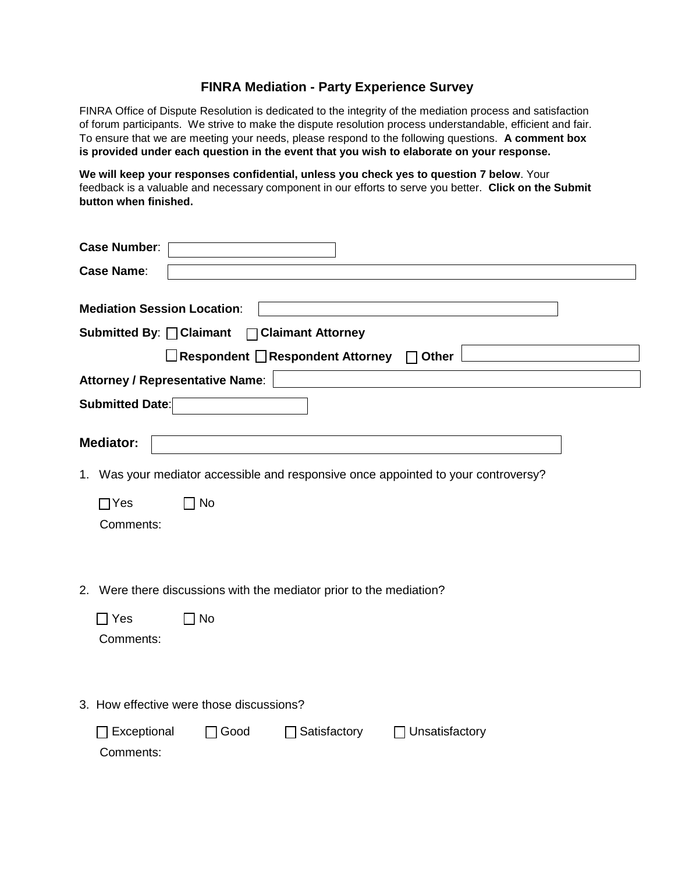## **FINRA Mediation - Party Experience Survey**

FINRA Office of Dispute Resolution is dedicated to the integrity of the mediation process and satisfaction of forum participants. We strive to make the dispute resolution process understandable, efficient and fair. To ensure that we are meeting your needs, please respond to the following questions. **A comment box is provided under each question in the event that you wish to elaborate on your response.**

**We will keep your responses confidential, unless you check yes to question 7 below**. Your feedback is a valuable and necessary component in our efforts to serve you better. **Click on the Submit button when finished.**

| <b>Case Number:</b>                                                                                                                                                                 |  |  |  |  |  |  |
|-------------------------------------------------------------------------------------------------------------------------------------------------------------------------------------|--|--|--|--|--|--|
| <b>Case Name:</b>                                                                                                                                                                   |  |  |  |  |  |  |
| <b>Mediation Session Location:</b><br>Submitted By: □ Claimant<br>□ Claimant Attorney<br>□Respondent □Respondent Attorney<br>$\Box$ Other<br><b>Attorney / Representative Name:</b> |  |  |  |  |  |  |
| Submitted Date:                                                                                                                                                                     |  |  |  |  |  |  |
| <b>Mediator:</b><br>1. Was your mediator accessible and responsive once appointed to your controversy?<br>$\sqcap$ Yes<br>∩ No<br>Comments:                                         |  |  |  |  |  |  |
| 2. Were there discussions with the mediator prior to the mediation?<br>$\Box$ Yes<br>$\Box$ No<br>Comments:                                                                         |  |  |  |  |  |  |
| 3. How effective were those discussions?                                                                                                                                            |  |  |  |  |  |  |
| Unsatisfactory<br>Good<br>Satisfactory<br>Exceptional<br>Comments:                                                                                                                  |  |  |  |  |  |  |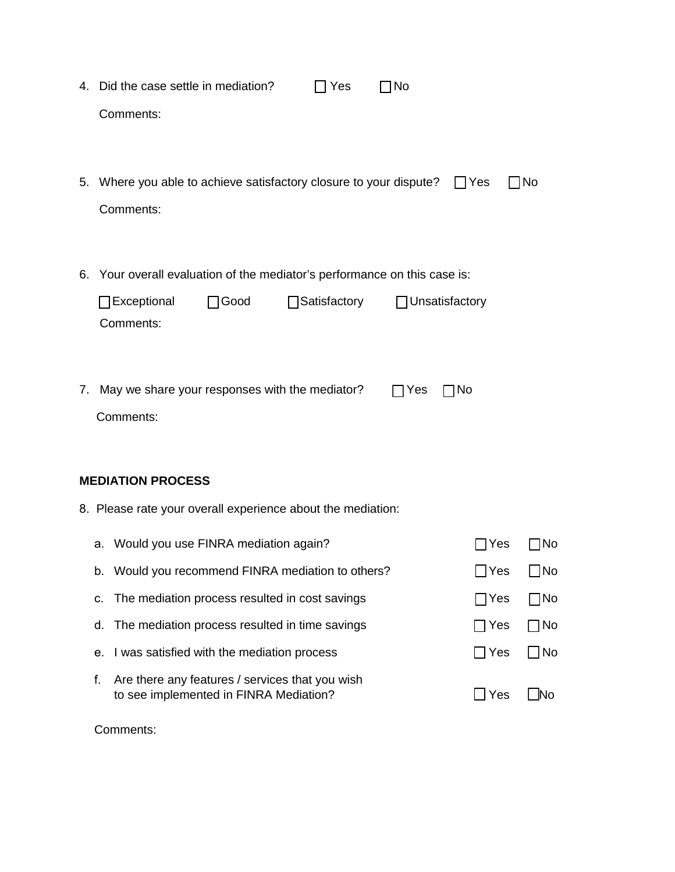|                          |                                                                           | 4. Did the case settle in mediation?<br>$\Box$ No<br>Yes                                                           |  |                        |              |  |  |
|--------------------------|---------------------------------------------------------------------------|--------------------------------------------------------------------------------------------------------------------|--|------------------------|--------------|--|--|
|                          |                                                                           | Comments:                                                                                                          |  |                        |              |  |  |
|                          |                                                                           |                                                                                                                    |  |                        |              |  |  |
|                          |                                                                           |                                                                                                                    |  |                        |              |  |  |
|                          |                                                                           | 5. Where you able to achieve satisfactory closure to your dispute?<br>$\blacksquare$ Yes<br>$\Box$ No<br>Comments: |  |                        |              |  |  |
|                          |                                                                           |                                                                                                                    |  |                        |              |  |  |
|                          |                                                                           |                                                                                                                    |  |                        |              |  |  |
|                          | 6. Your overall evaluation of the mediator's performance on this case is: |                                                                                                                    |  |                        |              |  |  |
|                          |                                                                           | Satisfactory<br>Exceptional<br>$\Box$ Good<br>$\Box$ Unsatisfactory                                                |  |                        |              |  |  |
|                          |                                                                           | Comments:                                                                                                          |  |                        |              |  |  |
|                          |                                                                           |                                                                                                                    |  |                        |              |  |  |
|                          | 7. May we share your responses with the mediator?<br>$\Box$ No<br>Yes     |                                                                                                                    |  |                        |              |  |  |
|                          |                                                                           | Comments:                                                                                                          |  |                        |              |  |  |
|                          |                                                                           |                                                                                                                    |  |                        |              |  |  |
| <b>MEDIATION PROCESS</b> |                                                                           |                                                                                                                    |  |                        |              |  |  |
|                          | 8. Please rate your overall experience about the mediation:               |                                                                                                                    |  |                        |              |  |  |
|                          |                                                                           | a. Would you use FINRA mediation again?                                                                            |  | Yes                    | No           |  |  |
|                          |                                                                           | Would you recommend FINRA mediation to others?                                                                     |  | Yes                    | JNo          |  |  |
|                          | b.                                                                        |                                                                                                                    |  |                        |              |  |  |
|                          | c.                                                                        | The mediation process resulted in cost savings                                                                     |  | 7Yes                   | $\sqcap$ No  |  |  |
|                          | d.                                                                        | The mediation process resulted in time savings                                                                     |  | $\exists$ Yes          | $\Box$ No    |  |  |
|                          | е.                                                                        | I was satisfied with the mediation process                                                                         |  | $\Box$ Yes             | $\exists$ No |  |  |
|                          | f.                                                                        | Are there any features / services that you wish<br>to see implemented in FINRA Mediation?                          |  | $\mathsf{\rbrack}$ Yes | $\Box$ No    |  |  |

Comments: